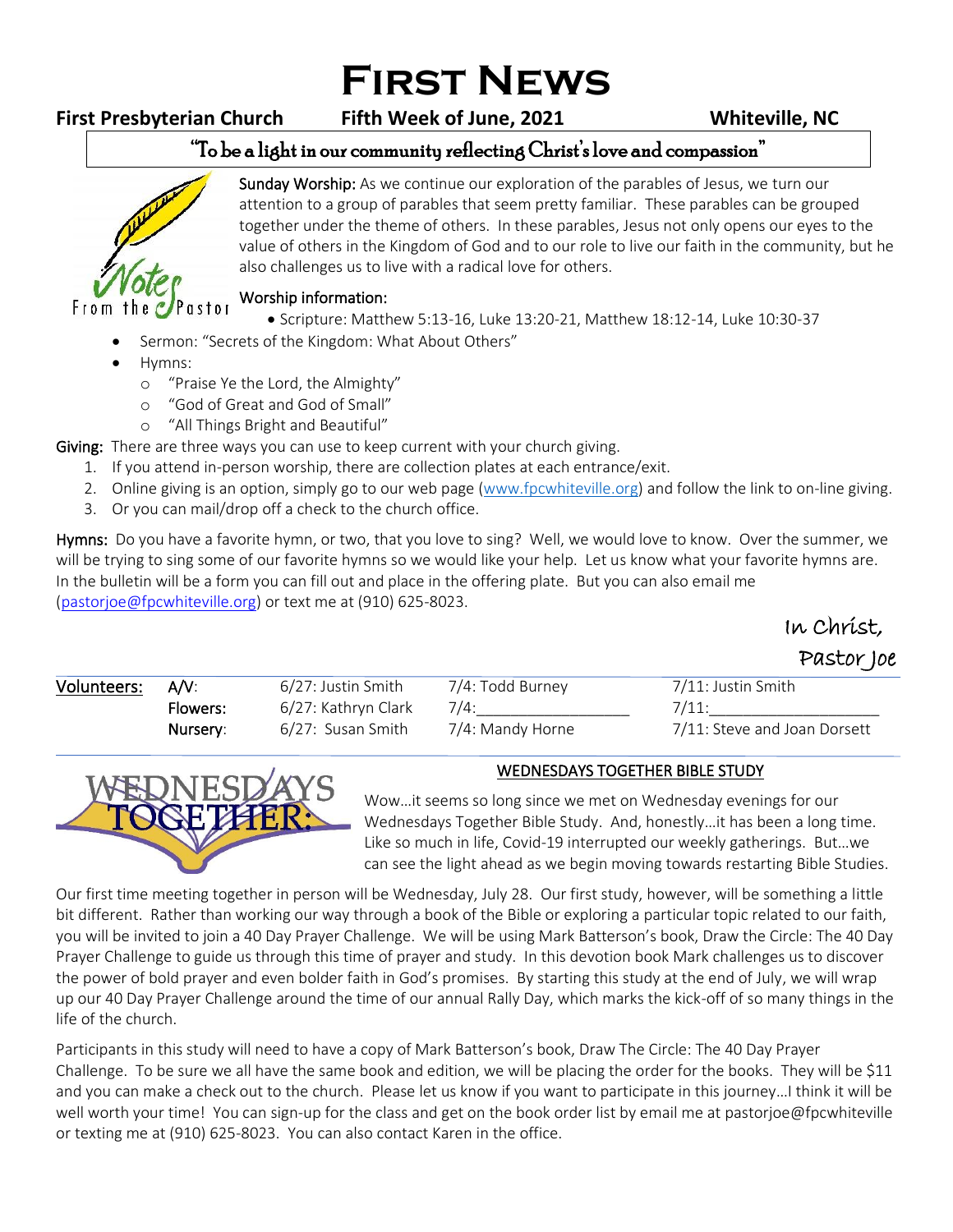# **First News**

## **First Presbyterian Church Fifth Week of June, 2021 Whiteville, NC**

 $\ln \Omega$  $\sim$ 

#### "To be a light in our community reflecting Christ's love and compassion" ֺ֝



Sunday Worship: As we continue our exploration of the parables of Jesus, we turn our attention to a group of parables that seem pretty familiar. These parables can be grouped together under the theme of others. In these parables, Jesus not only opens our eyes to the value of others in the Kingdom of God and to our role to live our faith in the community, but he also challenges us to live with a radical love for others.

#### Worship information:

- Scripture: Matthew 5:13-16, Luke 13:20-21, Matthew 18:12-14, Luke 10:30-37
- Sermon: "Secrets of the Kingdom: What About Others"
- Hymns:
	- o "Praise Ye the Lord, the Almighty"
	- o "God of Great and God of Small"
	- o "All Things Bright and Beautiful"

Giving: There are three ways you can use to keep current with your church giving.

- 1. If you attend in-person worship, there are collection plates at each entrance/exit.
- 2. Online giving is an option, simply go to our web page [\(www.fpcwhiteville.org](http://www.fpcwhiteville.ort/)) and follow the link to on-line giving.
- 3. Or you can mail/drop off a check to the church office.

Hymns: Do you have a favorite hymn, or two, that you love to sing? Well, we would love to know. Over the summer, we will be trying to sing some of our favorite hymns so we would like your help. Let us know what your favorite hymns are. In the bulletin will be a form you can fill out and place in the offering plate. But you can also email me [\(pastorjoe@fpcwhiteville.org\)](file:///C:/Users/Valued%20Customer/Desktop/pastorjoe@fpcwhiteville.org) or text me at (910) 625-8023.

|             |          |                     |                  | IN CNILSC,         |  |
|-------------|----------|---------------------|------------------|--------------------|--|
|             |          |                     |                  | Pastor Joe         |  |
| Volunteers: | AV:      | 6/27: Justin Smith  | 7/4: Todd Burney | 7/11: Justin Smith |  |
|             | Flowers: | 6/27: Kathryn Clark | 7/4:             |                    |  |

| Flowers: | 6/27: Kathryn Clark |                  |                              |
|----------|---------------------|------------------|------------------------------|
| Nursery: | 6/27: Susan Smith   | 7/4: Mandy Horne | 7/11: Steve and Joan Dorsett |
|          |                     |                  |                              |



### WEDNESDAYS TOGETHER BIBLE STUDY

Wow…it seems so long since we met on Wednesday evenings for our Wednesdays Together Bible Study. And, honestly…it has been a long time. Like so much in life, Covid-19 interrupted our weekly gatherings. But…we can see the light ahead as we begin moving towards restarting Bible Studies.

Our first time meeting together in person will be Wednesday, July 28. Our first study, however, will be something a little bit different. Rather than working our way through a book of the Bible or exploring a particular topic related to our faith, you will be invited to join a 40 Day Prayer Challenge. We will be using Mark Batterson's book, Draw the Circle: The 40 Day Prayer Challenge to guide us through this time of prayer and study. In this devotion book Mark challenges us to discover the power of bold prayer and even bolder faith in God's promises. By starting this study at the end of July, we will wrap up our 40 Day Prayer Challenge around the time of our annual Rally Day, which marks the kick-off of so many things in the life of the church.

Participants in this study will need to have a copy of Mark Batterson's book, Draw The Circle: The 40 Day Prayer Challenge. To be sure we all have the same book and edition, we will be placing the order for the books. They will be \$11 and you can make a check out to the church. Please let us know if you want to participate in this journey…I think it will be well worth your time! You can sign-up for the class and get on the book order list by email me at pastorjoe@fpcwhiteville or texting me at (910) 625-8023. You can also contact Karen in the office.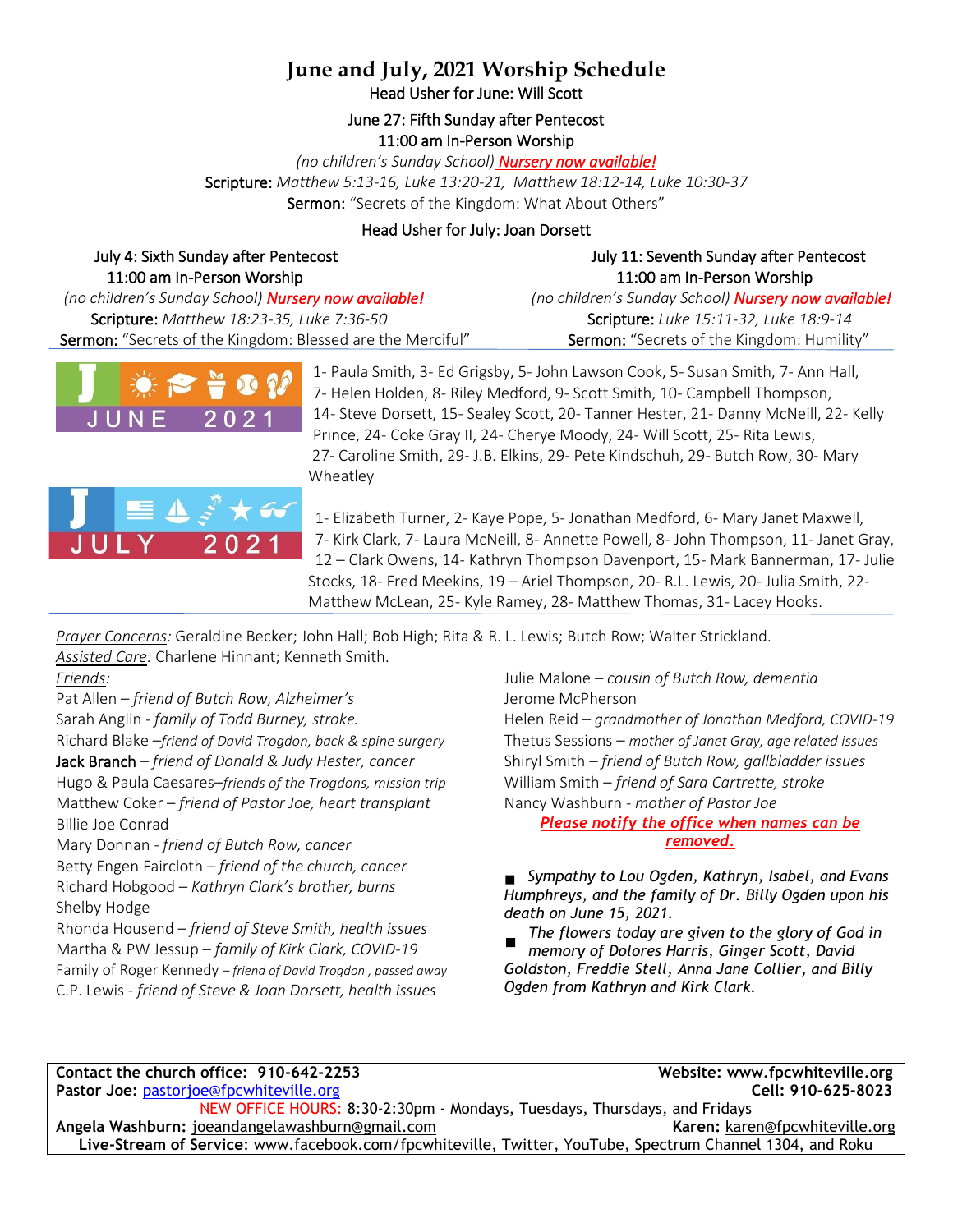# **June and July, 2021 Worship Schedule**

Head Usher for June: Will Scott

June 27: Fifth Sunday after Pentecost 11:00 am In-Person Worship

*(no children's Sunday School) Nursery now available!* Scripture: *Matthew 5:13-16, Luke 13:20-21, Matthew 18:12-14, Luke 10:30-37* Sermon: "Secrets of the Kingdom: What About Others"

#### Head Usher for July: Joan Dorsett

| July 4: Sixth Sunday after Pentecost                        | July 11: Seventh Sunday after Pentecost                     |  |
|-------------------------------------------------------------|-------------------------------------------------------------|--|
| 11:00 am In-Person Worship                                  | 11:00 am In-Person Worship                                  |  |
| (no children's Sunday School) <b>Nursery now available!</b> | (no children's Sunday School) <b>Nursery now available!</b> |  |
| Scripture: Matthew 18:23-35, Luke 7:36-50                   | Scripture: Luke 15:11-32, Luke 18:9-14                      |  |
| Sermon: "Secrets of the Kingdom: Blessed are the Merciful"  | Sermon: "Secrets of the Kingdom: Humility"                  |  |



1- Paula Smith, 3- Ed Grigsby, 5- John Lawson Cook, 5- Susan Smith, 7- Ann Hall, 7- Helen Holden, 8- Riley Medford, 9- Scott Smith, 10- Campbell Thompson, 14- Steve Dorsett, 15- Sealey Scott, 20- Tanner Hester, 21- Danny McNeill, 22- Kelly Prince, 24- Coke Gray II, 24- Cherye Moody, 24- Will Scott, 25- Rita Lewis, 27- Caroline Smith, 29- J.B. Elkins, 29- Pete Kindschuh, 29- Butch Row, 30- Mary Wheatley



1- Elizabeth Turner, 2- Kaye Pope, 5- Jonathan Medford, 6- Mary Janet Maxwell, 7- Kirk Clark, 7- Laura McNeill, 8- Annette Powell, 8- John Thompson, 11- Janet Gray, 12 – Clark Owens, 14- Kathryn Thompson Davenport, 15- Mark Bannerman, 17- Julie Stocks, 18- Fred Meekins, 19 – Ariel Thompson, 20- R.L. Lewis, 20- Julia Smith, 22- Matthew McLean, 25- Kyle Ramey, 28- Matthew Thomas, 31- Lacey Hooks.

*Prayer Concerns:* Geraldine Becker; John Hall; Bob High; Rita & R. L. Lewis; Butch Row; Walter Strickland. *Assisted Care:* Charlene Hinnant; Kenneth Smith.

*Friends:*

Pat Allen – *friend of Butch Row, Alzheimer's*  Sarah Anglin - *family of Todd Burney, stroke.* Richard Blake –*friend of David Trogdon, back & spine surgery* Jack Branch – *friend of Donald & Judy Hester, cancer* Hugo & Paula Caesares–*friends of the Trogdons, mission trip* Matthew Coker – *friend of Pastor Joe, heart transplant* Billie Joe Conrad

Mary Donnan - *friend of Butch Row, cancer* Betty Engen Faircloth *– friend of the church, cancer* Richard Hobgood – *Kathryn Clark's brother, burns* Shelby Hodge

Rhonda Housend – *friend of Steve Smith, health issues* Martha & PW Jessup – *family of Kirk Clark, COVID-19* Family of Roger Kennedy – *friend of David Trogdon , passed away* C.P. Lewis - *friend of Steve & Joan Dorsett, health issues*

Julie Malone – *cousin of Butch Row, dementia* Jerome McPherson

Helen Reid – *grandmother of Jonathan Medford, COVID-19* Thetus Sessions – *mother of Janet Gray, age related issues* Shiryl Smith – *friend of Butch Row, gallbladder issues* William Smith – *friend of Sara Cartrette, stroke* Nancy Washburn - *mother of Pastor Joe*

*Please notify the office when names can be removed.*

*Sympathy to Lou Ogden, Kathryn, Isabel, and Evans Humphreys, and the family of Dr. Billy Ogden upon his death on June 15, 2021.*

*The flowers today are given to the glory of God in memory of Dolores Harris, Ginger Scott, David Goldston, Freddie Stell, Anna Jane Collier, and Billy Ogden from Kathryn and Kirk Clark.*

**Contact the church office: 910-642-2253 Website: www.fpcwhiteville.org Pastor Joe:** [pastorjoe@fpcwhiteville.org](mailto:pastorjoe@fpcwhiteville.org) **Cell: 910-625-8023** NEW OFFICE HOURS: 8:30-2:30pm - Mondays, Tuesdays, Thursdays, and Fridays **Angela Washburn:** joeandangelawashburn@gmail.com **Karen: karen: [karen@fpcwhiteville.org](mailto:karen@fpcwhiteville.org) Karen**: **karen@fpcwhiteville.org** *n* **Live-Stream of Service**: www.facebook.com/fpcwhiteville, Twitter, YouTube, Spectrum Channel 1304, and Roku